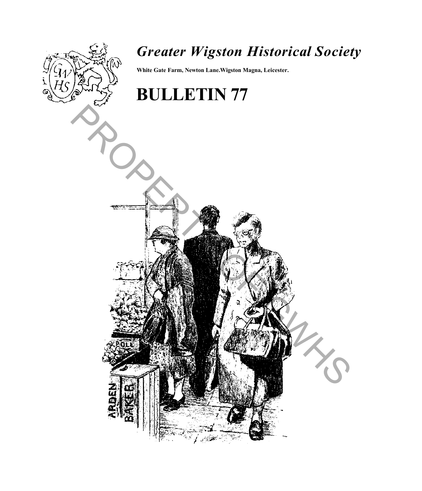

## *Greater Wigston Historical Society*

**White Gate Farm, Newton Lane.Wigston Magna, Leicester.**

# **BULLETIN 77**

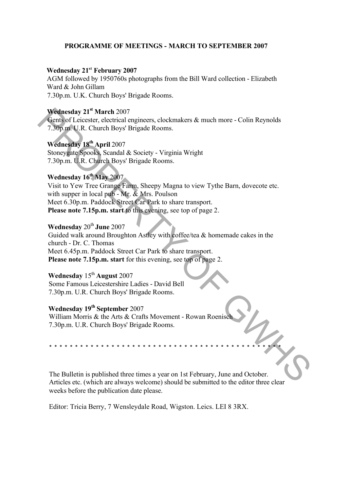#### **PROGRAMME OF MEETINGS - MARCH TO SEPTEMBER 2007**

#### **Wednesday 21st February 2007**

AGM followed by 1950760s photographs from the Bill Ward collection - Elizabeth Ward & John Gillam 7.30p.m. U.K. Church Boys' Brigade Rooms.

## **Wednesday 21st March** 2007

Gents of Leicester, electrical engineers, clockmakers & much more - Colin Reynolds 7.30p.m. U.R. Church Boys' Brigade Rooms.

**Wednesday 18th April** 2007 Stoneygate Spooks, Scandal & Society - Virginia Wright 7.30p.m. U.R. Church Boys' Brigade Rooms.

## **Wednesday 16th May** 2007

Visit to Yew Tree Grange Farm, Sheepy Magna to view Tythe Barn, dovecote etc. with supper in local pub - Mr. & Mrs. Poulson Meet 6.30p.m. Paddock Street Car Park to share transport. **Please note 7.15p.m. start** to this evening, see top of page 2. **Wednesday 21<sup>th</sup> Marti 2007**<br> **Wednesday 21<sup>th</sup> Marti 2007**<br> **Critical engineers**, clockmakers & much more - Colin Reynolds<br>
7.30p or U.R. Church Boys' Brigade Rooms.<br> **Wednesday 18<sup>th</sup> April 2007**<br>
Stoneygans Sponds, Sc

## **Wednesday 20<sup>th</sup> June 2007**

Guided walk around Broughton Astley with coffee/tea & homemade cakes in the church - Dr. C. Thomas Meet 6.45p.m. Paddock Street Car Park to share transport. **Please note 7.15p.m. start** for this evening, see top of page 2.

## **Wednesday** 15th **August** 2007

Some Famous Leicestershire Ladies - David Bell 7.30p.m. U.R. Church Boys' Brigade Rooms.

## **Wednesday 19th September** 2007

William Morris & the Arts & Crafts Movement - Rowan Roenisch 7.30p.m. U.R. Church Boys' Brigade Rooms.

The Bulletin is published three times a year on 1st February, June and October. Articles etc. (which are always welcome) should be submitted to the editor three clear weeks before the publication date please.

\* \* \* \* \* \* \* \* \* \* \* \* \* \* \* \* \* \* \* \* \* \* \* \* \* \* \* \* \* \* \* \* \* \* \* \* \* \* \* \* \* \* \* \* \*

Editor: Tricia Berry, 7 Wensleydale Road, Wigston. Leics. LEI 8 3RX.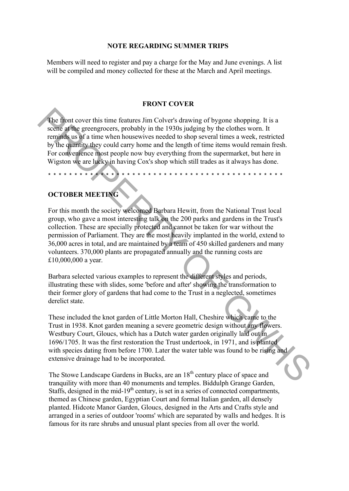#### **NOTE REGARDING SUMMER TRIPS**

Members will need to register and pay a charge for the May and June evenings. A list will be compiled and money collected for these at the March and April meetings.

#### **FRONT COVER**

The front cover this time features Jim Colver's drawing of bygone shopping. It is a scene at the greengrocers, probably in the 1930s judging by the clothes worn. It reminds us of a time when housewives needed to shop several times a week, restricted by the quantity they could carry home and the length of time items would remain fresh. For convenience most people now buy everything from the supermarket, but here in Wigston we are lucky in having Cox's shop which still trades as it always has done.

\* \* \* \* \* \* \* \* \* \* \* \* \* \* \* \* \* \* \* \* \* \* \* \* \* \* \* \* \* \* \* \* \* \* \* \* \* \* \* \* \* \* \* \* \*

#### **OCTOBER MEETING**

For this month the society welcomed Barbara Hewitt, from the National Trust local group, who gave a most interesting talk on the 200 parks and gardens in the Trust's collection. These are specially protected and cannot be taken for war without the permission of Parliament. They are the most heavily implanted in the world, extend to 36,000 acres in total, and are maintained by a team of 450 skilled gardeners and many volunteers. 370,000 plants are propagated annually and the running costs are Ä10,000,000 a year. The first cover this time features Jim Colver's drawing of bygone shopping. It is a<br>seeme afthe greengrocers, probably in the 1930s judging by the clothes worn. It<br>complises use in time when bousewives needed to shop seve

Barbara selected various examples to represent the different styles and periods, illustrating these with slides, some 'before and after' showing the transformation to their former glory of gardens that had come to the Trust in a neglected, sometimes derelict state.

These included the knot garden of Little Morton Hall, Cheshire which came to the Trust in 1938. Knot garden meaning a severe geometric design without any flowers. Westbury Court, Gloucs, which has a Dutch water garden originally laid out in 1696/1705. It was the first restoration the Trust undertook, in 1971, and is planted with species dating from before 1700. Later the water table was found to be rising and extensive drainage had to be incorporated.

The Stowe Landscape Gardens in Bucks, are an 18<sup>th</sup> century place of space and tranquility with more than 40 monuments and temples. Biddulph Grange Garden, Staffs, designed in the mid-19<sup>th</sup> century, is set in a series of connected compartments, themed as Chinese garden, Egyptian Court and formal Italian garden, all densely planted. Hidcote Manor Garden, Gloucs, designed in the Arts and Crafts style and arranged in a series of outdoor 'rooms' which are separated by walls and hedges. It is famous for its rare shrubs and unusual plant species from all over the world.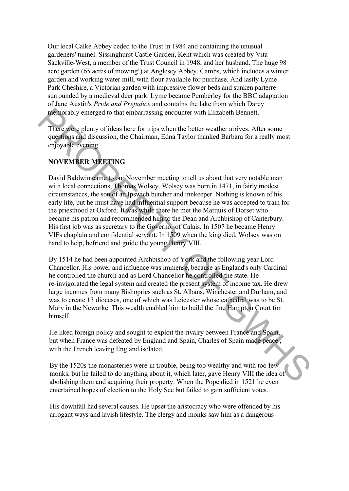Our local Calke Abbey ceded to the Trust in 1984 and containing the unusual gardeners' tunnel. Sissinghurst Castle Garden, Kent which was created by Vita Sackville-West, a member of the Trust Council in 1948, and her husband. The huge 98 acre garden (65 acres of mowing!) at Anglesey Abbey, Cambs, which includes a winter garden and working water mill, with flour available for purchase. And lastly Lyme Park Cheshire, a Victorian garden with impressive flower beds and sunken parterre surrounded by a medieval deer park. Lyme became Pemberley for the BBC adaptation of Jane Austin's *Pride and Prejudice* and contains the lake from which Darcy memorably emerged to that embarrassing encounter with Elizabeth Bennett.

There were plenty of ideas here for trips when the better weather arrives. After some questions and discussion, the Chairman, Edna Taylor thanked Barbara for a really most enjoyable evening.

## **NOVEMBER MEETING**

David Baldwin came to our November meeting to tell us about that very notable man with local connections, Thomas Wolsey. Wolsey was born in 1471, in fairly modest circumstances, the son of an Ipswich butcher and innkeeper. Nothing is known of his early life, but he must have had influential support because he was accepted to train for the priesthood at Oxford. It was while there he met the Marquis of Dorset who became his patron and recommended him to the Dean and Archbishop of Canterbury. His first job was as secretary to the Governor of Calais. In 1507 he became Henry VIFs chaplain and confidential servant. In 1509 when the king died, Wolsey was on hand to help, befriend and guide the young Henry VIII. mentorably emerged to that embarrassing encounter with Elizabeth Bennett.<br>
There were plenty of ideas here for trips when the better weather arrives. After some<br>
questions and discussion, the Chairman, Edna Taylor thanked

By 1514 he had been appointed Archbishop of York and the following year Lord Chancellor. His power and influence was immense, because as England's only Cardinal he controlled the church and as Lord Chancellor he controlled the state. He re-invigorated the legal system and created the present system of income tax. He drew large incomes from many Bishoprics such as St. Albans, Winchester and Durham, and was to create 13 dioceses, one of which was Leicester whose cathedral was to be St. Mary in the Newarke. This wealth enabled him to build the fine Hampton Court for himself.

He liked foreign policy and sought to exploit the rivalry between France and Spain, but when France was defeated by England and Spain, Charles of Spain made peace , with the French leaving England isolated.

By the 1520s the monasteries were in trouble, being too wealthy and with too few monks, but he failed to do anything about it, which later, gave Henry VIII the idea of abolishing them and acquiring their property. When the Pope died in 1521 he even entertained hopes of election to the Holy See but failed to gain sufficient votes.

His downfall had several causes. He upset the aristocracy who were offended by his arrogant ways and lavish lifestyle. The clergy and monks saw him as a dangerous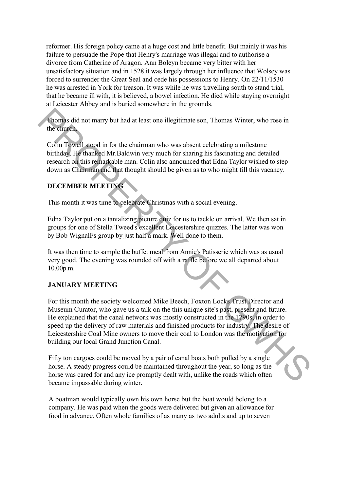reformer. His foreign policy came at a huge cost and little benefit. But mainly it was his failure to persuade the Pope that Henry's marriage was illegal and to authorise a divorce from Catherine of Aragon. Ann Boleyn became very bitter with her unsatisfactory situation and in 1528 it was largely through her influence that Wolsey was forced to surrender the Great Seal and cede his possessions to Henry. On 22/11/1530 he was arrested in York for treason. It was while he was travelling south to stand trial, that he became ill with, it is believed, a bowel infection. He died while staying overnight at Leicester Abbey and is buried somewhere in the grounds.

Thomas did not marry but had at least one illegitimate son, Thomas Winter, who rose in the church.

Colin Towell stood in for the chairman who was absent celebrating a milestone birthday. He thanked Mr.Baldwin very much for sharing his fascinating and detailed research on this remarkable man. Colin also announced that Edna Taylor wished to step down as Chairman and that thought should be given as to who might fill this vacancy.

## **DECEMBER MEETING**

This month it was time to celebrate Christmas with a social evening.

Edna Taylor put on a tantalizing picture quiz for us to tackle on arrival. We then sat in groups for one of Stella Tweed's excellent Leicestershire quizzes. The latter was won by Bob WignalFs group by just half a mark. Well done to them.

It was then time to sample the buffet meal from Annie's Patisserie which was as usual very good. The evening was rounded off with a raffle before we all departed about 10.00p.m.

#### **JANUARY MEETING**

For this month the society welcomed Mike Beech, Foxton Locks Trust Director and Museum Curator, who gave us a talk on the this unique site's past, present and future. He explained that the canal network was mostly constructed in the 1790s, in order to speed up the delivery of raw materials and finished products for industry. The desire of Leicestershire Coal Mine owners to move their coal to London was the motivation for building our local Grand Junction Canal. The church state of the transfer of the third multiple in the charge of the church of the state of the theoretic behindary in the state of the function of the state of the function of the state of the state of the state o

Fifty ton cargoes could be moved by a pair of canal boats both pulled by a single horse. A steady progress could be maintained throughout the year, so long as the horse was cared for and any ice promptly dealt with, unlike the roads which often became impassable during winter.

A boatman would typically own his own horse but the boat would belong to a company. He was paid when the goods were delivered but given an allowance for food in advance. Often whole families of as many as two adults and up to seven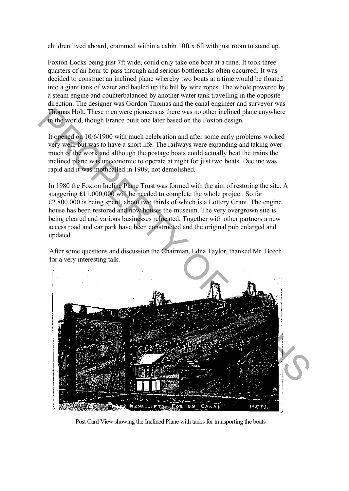children lived aboard, crammed within a cabin 10ft x 6ft with just room to stand up.

Foxton Locks being just 7ft wide, could only take one boat at a time. It took three quarters of an hour to pass through and serious bottlenecks often occurred. It was decided to construct an inclined plane whereby two boats at a time would be floated into a giant tank of water and hauled up the hill by wire ropes. The whole powered by a steam engine and counterbalanced by another water tank travelling in the opposite direction. The designer was Gordon Thomas and the canal engineer and surveyor was Thomas Holt. These men were pioneers as there was no other inclined plane anywhere in the world, though France built one later based on the Foxton design.

It opened on 10/6/1900 with much celebration and after some early problems worked very well, but was to have a short life. The railways were expanding and taking over much of the work and although the postage boats could actually beat the trains the inclined plane was uneconomic to operate at night for just two boats. Decline was rapid and it was mothballed in 1909, not demolished.

In 1980 the Foxton Incline Plane Trust was formed with the aim of restoring the site. A staggering Ä11,000,000 will be needed to complete the whole project. So far  $£2,800,000$  is being spent, about two thirds of which is a Lottery Grant. The engine house has been restored and now houses the museum. The very overgrown site is being cleared and various businesses relocated. Together with other partners a new access road and car park have been constructed and the original pub enlarged and updated.

After some questions and discussion the Chairman, Edna Taylor, thanked Mr. Beech for a very interesting talk.



Post Card View showing the Inclined Plane with tanks for transporting the boats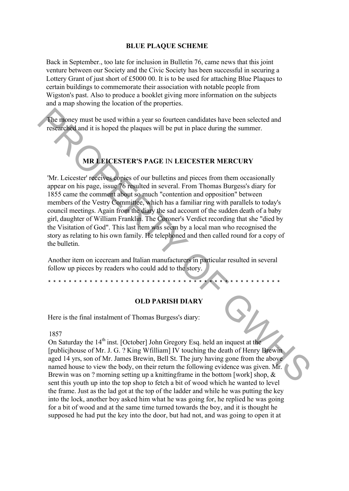#### **BLUE PLAQUE SCHEME**

Back in September., too late for inclusion in Bulletin 76, came news that this joint venture between our Society and the Civic Society has been successful in securing a Lottery Grant of just short of  $£500000$ . It is to be used for attaching Blue Plaques to certain buildings to commemorate their association with notable people from Wigston's past. Also to produce a booklet giving more information on the subjects and a map showing the location of the properties.

The money must be used within a year so fourteen candidates have been selected and researched and it is hoped the plaques will be put in place during the summer.

## **MR LEICESTER'S PAGE** IN **LEICESTER MERCURY**

'Mr. Leicester' receives copies of our bulletins and pieces from them occasionally appear on his page, issue 76 resulted in several. From Thomas Burgess's diary for 1855 came the comment about so much "contention and opposition" between members of the Vestry Committee, which has a familiar ring with parallels to today's council meetings. Again from the diary the sad account of the sudden death of a baby girl, daughter of William Franklin. The Coroner's Verdict recording that she "died by the Visitation of God". This last item was seem by a local man who recognised the story as relating to his own family. He telephoned and then called round for a copy of the bulletin. The impact of the based within a year so fourteen candidates have been selected and<br>
researched and it is hoped the plaques will be put in place during the summer.<br> **MR EICESTER'S PAGE IN LEICESTER MERCURY**<br>
MR **EICESTER** 

Another item on icecream and Italian manufacturers in particular resulted in several follow up pieces by readers who could add to the story.

#### **OLD PARISH DIARY**

Here is the final instalment of Thomas Burgess's diary:

\* \* \* \* \* \* \* \* \* \* \* \* \* \* \* \* \* \* \* \* \* \* \* \* \* \* \* \* \* \* \* \* \* \* \* \* \* \* \* \* \* \* \* \* \*

1857

On Saturday the  $14<sup>th</sup>$  inst. [October] John Gregory Esq. held an inquest at the [publicjhouse of Mr. J. G. ? King Wfilliam] IV touching the death of Henry Brewin aged 14 yrs, son of Mr. James Brewin, Bell St. The jury having gone from the above named house to view the body, on their return the following evidence was given. Mr. Brewin was on ? morning setting up a knitting frame in the bottom [work] shop,  $\&$ sent this youth up into the top shop to fetch a bit of wood which he wanted to level the frame. Just as the lad got at the top of the ladder and while he was putting the key into the lock, another boy asked him what he was going for, he replied he was going for a bit of wood and at the same time turned towards the boy, and it is thought he supposed he had put the key into the door, but had not, and was going to open it at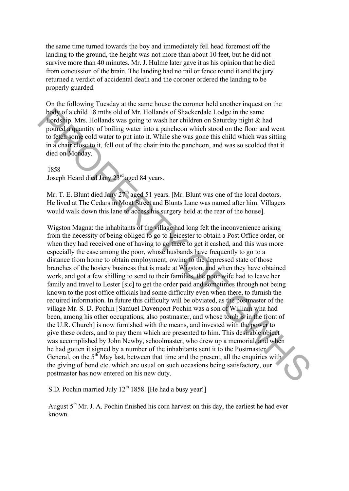the same time turned towards the boy and immediately fell head foremost off the landing to the ground, the height was not more than about 10 feet, but he did not survive more than 40 minutes. Mr. J. Hulme later gave it as his opinion that he died from concussion of the brain. The landing had no rail or fence round it and the jury returned a verdict of accidental death and the coroner ordered the landing to be properly guarded.

On the following Tuesday at the same house the coroner held another inquest on the body of a child 18 mths old of Mr. Hollands of Shackerdale Lodge in the same Lordship. Mrs. Hollands was going to wash her children on Saturday night & had poured a quantity of boiling water into a pancheon which stood on the floor and went to fetch some cold water to put into it. While she was gone this child which was sitting in a chair close to it, fell out of the chair into the pancheon, and was so scolded that it died on Monday.

#### 1858

Joseph Heard died Jany  $23<sup>rd</sup>$  aged 84 years.

Mr. T. E. Blunt died Jany 27<sup>th</sup> aged 51 years. [Mr. Blunt was one of the local doctors. He lived at The Cedars in Moat Street and Blunts Lane was named after him. Villagers would walk down this lane to access his surgery held at the rear of the house].

Wigston Magna: the inhabitants of the village had long felt the inconvenience arising from the necessity of being obliged to go to Leicester to obtain a Post Office order, or when they had received one of having to go there to get it cashed, and this was more especially the case among the poor, whose husbands have frequently to go to a distance from home to obtain employment, owing to the depressed state of those branches of the hosiery business that is made at Wigston, and when they have obtained work, and got a few shilling to send to their families, the poor wife had to leave her family and travel to Lester [sic] to get the order paid and sometimes through not being known to the post office officials had some difficulty even when there, to furnish the required information. In future this difficulty will be obviated, as the postmaster of the village Mr. S. D. Pochin [Samuel Davenport Pochin was a son of William wha had been, among his other occupations, also postmaster, and whose tomb is in the front of the U.R. Church] is now furnished with the means, and invested with the power to give these orders, and to pay them which are presented to him. This desirable object was accomplished by John Newby, schoolmaster, who drew up a memorial, and when he had gotten it signed by a number of the inhabitants sent it to the Postmaster General, on the  $5<sup>th</sup>$  May last, between that time and the present, all the enquiries with the giving of bond etc. which are usual on such occasions being satisfactory, our postmaster has now entered on his new duty. booth can bit is miths old of  $\alpha$ . Hollands of Shackerdale I odeg in the same<br>poot can child is miths old of Mr. Hollands was going to wash her children on Sanurday night & had<br>pourced equantity of boiling wetter time is

S.D. Pochin married July  $12^{th}$  1858. [He had a busy year!]

August  $5<sup>th</sup>$  Mr. J. A. Pochin finished his corn harvest on this day, the earliest he had ever known.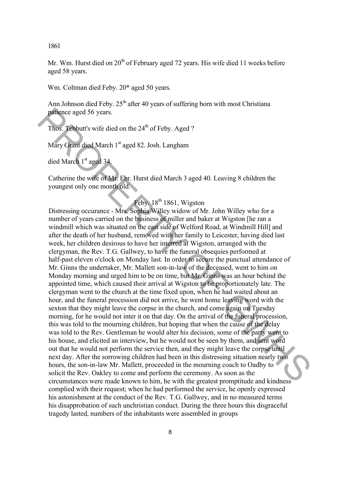1861

Mr. Wm. Hurst died on  $20<sup>th</sup>$  of February aged 72 years. His wife died 11 weeks before aged 58 years.

Wm. Coltman died Feby. 20\* aged 50 years.

Ann Johnson died Feby.  $25<sup>th</sup>$  after 40 years of suffering born with most Christiana patience aged 56 years.

Thos. Tebbutt's wife died on the  $24<sup>th</sup>$  of Feby. Aged ?

Mary Grant died March 1<sup>st</sup> aged 82. Josh. Langham

died March 1st aged 34.

Catherine the wife of Mr. Ebr. Hurst died March 3 aged 40. Leaving 8 children the youngest only one month old.

## Feby.  $18^{th}$  1861, Wigston

Distressing occurance - Mrs. Sophia Willey widow of Mr. John Willey who for a number of years carried on the business of miller and baker at Wigston [he ran a windmill which was situated on the east side of Welford Road, at Windmill Hill] and after the death of her husband, removed with her family to Leicester, having died last week, her children desirous to have her interred at Wigston, arranged with the clergyman, the Rev. T.G. Gallwey, to have the funeral obsequies performed at half-past eleven o'clock on Monday last. In order to secure the punctual attendance of Mr. Ginns the undertaker, Mr. Mallett son-in-law of the deceased, went to him on Monday morning and urged him to be on time, but Mr. Ginns was an hour behind the appointed time, which caused their arrival at Wigston to be proportionately late. The clergyman went to the church at the time fixed upon, when he had waited about an hour, and the funeral procession did not arrive, he went home leaving word with the sexton that they might leave the corpse in the church, and come again on Tuesday morning, for he would not inter it on that day. On the arrival of the funeral procession, this was told to the mourning children, but hoping that when the cause of the delay was told to the Rev. Gentleman he would alter his decision, some of the party went to his house, and elicited an interview, but he would not be seen by them, and sent word out that he would not perform the service then, and they might leave the corpse until next day. After the sorrowing children had been in this distressing situation nearly two hours, the son-in-law Mr. Mallett, proceeded in the mourning coach to Oadby to solicit the Rev. Oakley to come and perform the ceremony. As soon as the circumstances were made known to him, he with the greatest promptitude and kindness complied with their request; when he had performed the service, he openly expressed his astonishment at the conduct of the Rev. T.G. Gallwey, and in no measured terms his disapprobation of such unchristian conduct. During the three hours this disgraceful tragedy lasted, numbers of the inhabitants were assembled in groups particle a ged 56 years.<br>
Thos. Tebbutt's wife died on the 24<sup>th</sup> of Feby. Aged?<br>
Mary Gram died March 1<sup>2</sup> aged 82. Josh, I angham<br>
died March 1<sup>2</sup> aged 34.<br>
Culturine the wife of Mar Ebr. Hurst died March 3 aged 40. Lea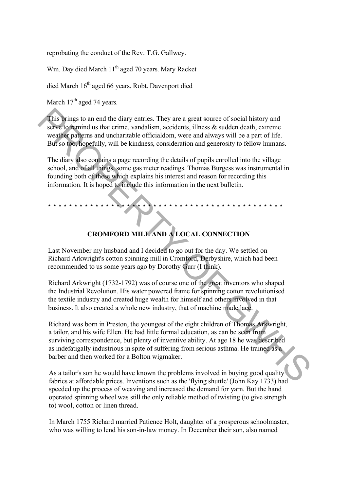reprobating the conduct of the Rev. T.G. Gallwey.

Wm. Day died March 11<sup>th</sup> aged 70 years. Mary Racket

died March 16<sup>th</sup> aged 66 years. Robt. Davenport died

March  $17<sup>th</sup>$  aged 74 years.

This brings to an end the diary entries. They are a great source of social history and serve to remind us that crime, vandalism, accidents, illness  $\&$  sudden death, extreme weather patterns and uncharitable officialdom, were and always will be a part of life. But so too, hopefully, will be kindness, consideration and generosity to fellow humans.

The diary also contains a page recording the details of pupils enrolled into the village school, and of all things, some gas meter readings. Thomas Burgess was instrumental in founding both of these which explains his interest and reason for recording this information. It is hoped to include this information in the next bulletin.

## **CROMFORD MILL AND A LOCAL CONNECTION**

\* \* \* \* \* \* \* \* \* \* \* \* \* \* \* \* \* \* \* \* \* \* \* \* \* \* \* \* \* \* \* \* \* \* \* \* \* \* \* \* \* \* \* \* \*

Last November my husband and I decided to go out for the day. We settled on Richard Arkwright's cotton spinning mill in Cromford, Derbyshire, which had been recommended to us some years ago by Dorothy Gurr (I think).

Richard Arkwright (1732-1792) was of course one of the great inventors who shaped the Industrial Revolution. His water powered frame for spinning cotton revolutionised the textile industry and created huge wealth for himself and others involved in that business. It also created a whole new industry, that of machine made lace.

Richard was born in Preston, the youngest of the eight children of Thomas Arkwright, a tailor, and his wife Ellen. He had little formal education, as can be seen from surviving correspondence, but plenty of inventive ability. At age 18 he was described as indefatigally industrious in spite of suffering from serious asthma. He trained as a barber and then worked for a Bolton wigmaker. This brings to an end the diary entries. They are a great source of social history and<br>serve to running us that erime, vandalism, accidents, illness & sudden death, extreme<br>weather partimes and uncharitable officialism, w

As a tailor's son he would have known the problems involved in buying good quality fabrics at affordable prices. Inventions such as the 'flying shuttle' (John Kay 1733) had speeded up the process of weaving and increased the demand for yarn. But the hand operated spinning wheel was still the only reliable method of twisting (to give strength to) wool, cotton or linen thread.

In March 1755 Richard married Patience Holt, daughter of a prosperous schoolmaster, who was willing to lend his son-in-law money. In December their son, also named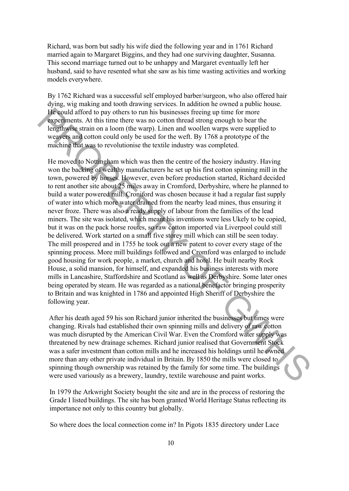Richard, was born but sadly his wife died the following year and in 1761 Richard married again to Margaret Biggins, and they had one surviving daughter, Susanna. This second marriage turned out to be unhappy and Margaret eventually left her husband, said to have resented what she saw as his time wasting activities and working models everywhere.

By 1762 Richard was a successful self employed barber/surgeon, who also offered hair dying, wig making and tooth drawing services. In addition he owned a public house. He could afford to pay others to run his businesses freeing up time for more experiments. At this time there was no cotton thread strong enough to bear the lengthwise strain on a loom (the warp). Linen and woollen warps were supplied to weavers and cotton could only be used for the weft. By 1768 a prototype of the machine that was to revolutionise the textile industry was completed.

He moved to Nottingham which was then the centre of the hosiery industry. Having won the backing of wealthy manufacturers he set up his first cotton spinning mill in the town, powered by horses. However, even before production started, Richard decided to rent another site about 25 miles away in Cromford, Derbyshire, where he planned to build a water powered mill. Croniford was chosen because it had a regular fast supply of water into which more water drained from the nearby lead mines, thus ensuring it never froze. There was also a ready supply of labour from the families of the lead miners. The site was isolated, which meant his inventions were less Ukely to be copied, but it was on the pack horse routes, so raw cotton imported via Liverpool could still be delivered. Work started on a small five storey mill which can still be seen today. The mill prospered and in 1755 he took out a new patent to cover every stage of the spinning process. More mill buildings followed and Cromford was enlarged to include good housing for work people, a market, church and hotel. He built nearby Rock House, a solid mansion, for himself, and expanded his business interests with more mills in Lancashire, Staffordshire and Scotland as well as Derbyshire. Some later ones being operated by steam. He was regarded as a national benefactor bringing prosperity to Britain and was knighted in 1786 and appointed High Sheriff of Derbyshire the following year. He could afford to pay others to run his businesses frecing up time for more<br>
repeating any of the sympatric station of the sympatric line of the comparison of the sympatric station of the vaript). Linen and woollen warps

After his death aged 59 his son Richard junior inherited the businesses but times were changing. Rivals had established their own spinning mills and delivery of raw cotton was much disrupted by the American Civil War. Even the Cromford water supply was threatened by new drainage schemes. Richard junior realised that Government Stock was a safer investment than cotton mills and he increased his holdings until he owned more than any other private individual in Britain. By 1850 the mills were closed to spinning though ownership was retained by the family for some time. The buildings were used variously as a brewery, laundry, textile warehouse and paint works.

In 1979 the Arkwright Society bought the site and are in the process of restoring the Grade I listed buildings. The site has been granted World Heritage Status reflecting its importance not only to this country but globally.

So where does the local connection come in? In Pigots 1835 directory under Lace